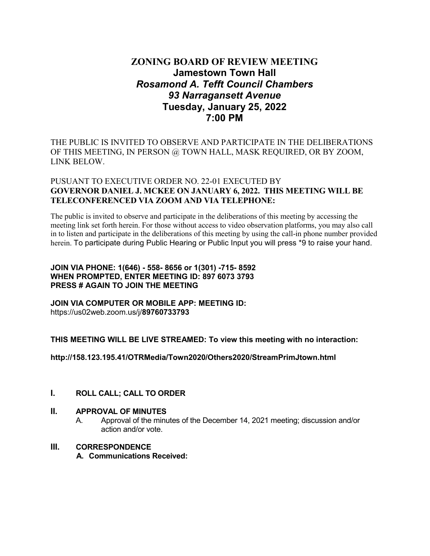# **ZONING BOARD OF REVIEW MEETING Jamestown Town Hall** *Rosamond A. Tefft Council Chambers 93 Narragansett Avenue* **Tuesday, January 25, 2022 7:00 PM**

THE PUBLIC IS INVITED TO OBSERVE AND PARTICIPATE IN THE DELIBERATIONS OF THIS MEETING, IN PERSON @ TOWN HALL, MASK REQUIRED, OR BY ZOOM, LINK BELOW.

## PUSUANT TO EXECUTIVE ORDER NO. 22-01 EXECUTED BY **GOVERNOR DANIEL J. MCKEE ON JANUARY 6, 2022. THIS MEETING WILL BE TELECONFERENCED VIA ZOOM AND VIA TELEPHONE:**

The public is invited to observe and participate in the deliberations of this meeting by accessing the meeting link set forth herein. For those without access to video observation platforms, you may also call in to listen and participate in the deliberations of this meeting by using the call-in phone number provided herein. To participate during Public Hearing or Public Input you will press \*9 to raise your hand.

#### **JOIN VIA PHONE: 1(646) - 558- 8656 or 1(301) -715- 8592 WHEN PROMPTED, ENTER MEETING ID: 897 6073 3793 PRESS # AGAIN TO JOIN THE MEETING**

**JOIN VIA COMPUTER OR MOBILE APP: MEETING ID:** https://us02web.zoom.us/j/**89760733793**

**THIS MEETING WILL BE LIVE STREAMED: To view this meeting with no interaction:**

**http://158.123.195.41/OTRMedia/Town2020/Others2020/StreamPrimJtown.html**

### **I. ROLL CALL; CALL TO ORDER**

### **II. APPROVAL OF MINUTES**

A. Approval of the minutes of the December 14, 2021 meeting; discussion and/or action and/or vote.

### **III. CORRESPONDENCE**

**A. Communications Received:**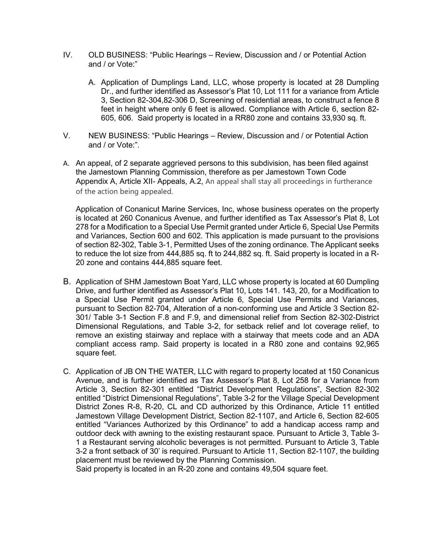- IV. OLD BUSINESS: "Public Hearings Review, Discussion and / or Potential Action and / or Vote:"
	- A. Application of Dumplings Land, LLC, whose property is located at 28 Dumpling Dr., and further identified as Assessor's Plat 10, Lot 111 for a variance from Article 3, Section 82-304,82-306 D, Screening of residential areas, to construct a fence 8 feet in height where only 6 feet is allowed. Compliance with Article 6, section 82- 605, 606. Said property is located in a RR80 zone and contains 33,930 sq. ft.
- V. NEW BUSINESS: "Public Hearings Review, Discussion and / or Potential Action and / or Vote:".
- A. An appeal, of 2 separate aggrieved persons to this subdivision, has been filed against the Jamestown Planning Commission, therefore as per Jamestown Town Code Appendix A, Article XII- Appeals, A.2, An appeal shall stay all proceedings in furtherance of the action being appealed.

Application of Conanicut Marine Services, Inc, whose business operates on the property is located at 260 Conanicus Avenue, and further identified as Tax Assessor's Plat 8, Lot 278 for a Modification to a Special Use Permit granted under Article 6, Special Use Permits and Variances, Section 600 and 602. This application is made pursuant to the provisions of section 82-302, Table 3-1, Permitted Uses of the zoning ordinance. The Applicant seeks to reduce the lot size from 444,885 sq. ft to 244,882 sq. ft. Said property is located in a R-20 zone and contains 444,885 square feet.

- B. Application of SHM Jamestown Boat Yard, LLC whose property is located at 60 Dumpling Drive, and further identified as Assessor's Plat 10, Lots 141. 143, 20, for a Modification to a Special Use Permit granted under Article 6, Special Use Permits and Variances, pursuant to Section 82-704, Alteration of a non-conforming use and Article 3 Section 82- 301/ Table 3-1 Section F.8 and F.9, and dimensional relief from Section 82-302-District Dimensional Regulations, and Table 3-2, for setback relief and lot coverage relief, to remove an existing stairway and replace with a stairway that meets code and an ADA compliant access ramp. Said property is located in a R80 zone and contains 92,965 square feet.
- C. Application of JB ON THE WATER, LLC with regard to property located at 150 Conanicus Avenue, and is further identified as Tax Assessor's Plat 8, Lot 258 for a Variance from Article 3, Section 82-301 entitled "District Development Regulations", Section 82-302 entitled "District Dimensional Regulations", Table 3-2 for the Village Special Development District Zones R-8, R-20, CL and CD authorized by this Ordinance, Article 11 entitled Jamestown Village Development District, Section 82-1107, and Article 6, Section 82-605 entitled "Variances Authorized by this Ordinance" to add a handicap access ramp and outdoor deck with awning to the existing restaurant space. Pursuant to Article 3, Table 3- 1 a Restaurant serving alcoholic beverages is not permitted. Pursuant to Article 3, Table 3-2 a front setback of 30' is required. Pursuant to Article 11, Section 82-1107, the building placement must be reviewed by the Planning Commission.

Said property is located in an R-20 zone and contains 49,504 square feet.